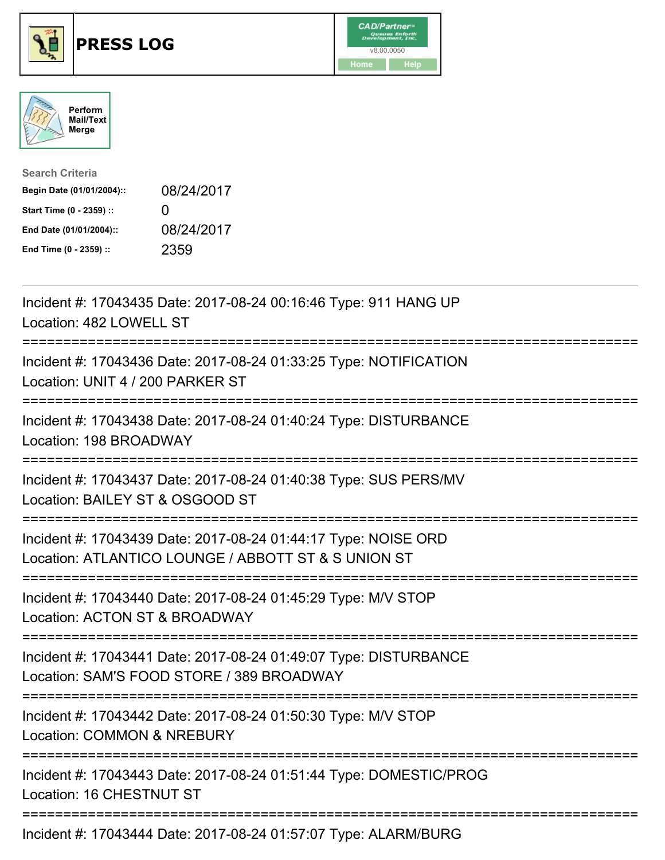





| <b>Search Criteria</b>    |              |
|---------------------------|--------------|
| Begin Date (01/01/2004):: | 08/24/2017   |
| Start Time (0 - 2359) ::  | $\mathbf{I}$ |
| End Date (01/01/2004)::   | 08/24/2017   |
| End Time (0 - 2359) ::    | 2359         |

| Incident #: 17043435 Date: 2017-08-24 00:16:46 Type: 911 HANG UP<br>Location: 482 LOWELL ST                                                           |
|-------------------------------------------------------------------------------------------------------------------------------------------------------|
| Incident #: 17043436 Date: 2017-08-24 01:33:25 Type: NOTIFICATION<br>Location: UNIT 4 / 200 PARKER ST                                                 |
| Incident #: 17043438 Date: 2017-08-24 01:40:24 Type: DISTURBANCE<br>Location: 198 BROADWAY                                                            |
| Incident #: 17043437 Date: 2017-08-24 01:40:38 Type: SUS PERS/MV<br>Location: BAILEY ST & OSGOOD ST                                                   |
| Incident #: 17043439 Date: 2017-08-24 01:44:17 Type: NOISE ORD<br>Location: ATLANTICO LOUNGE / ABBOTT ST & S UNION ST                                 |
| Incident #: 17043440 Date: 2017-08-24 01:45:29 Type: M/V STOP<br>Location: ACTON ST & BROADWAY<br>:=====================                              |
| Incident #: 17043441 Date: 2017-08-24 01:49:07 Type: DISTURBANCE<br>Location: SAM'S FOOD STORE / 389 BROADWAY<br>==================================== |
| Incident #: 17043442 Date: 2017-08-24 01:50:30 Type: M/V STOP<br><b>Location: COMMON &amp; NREBURY</b>                                                |
| Incident #: 17043443 Date: 2017-08-24 01:51:44 Type: DOMESTIC/PROG<br>Location: 16 CHESTNUT ST                                                        |
| Incident #: 17043444 Date: 2017-08-24 01:57:07 Type: ALARM/BURG                                                                                       |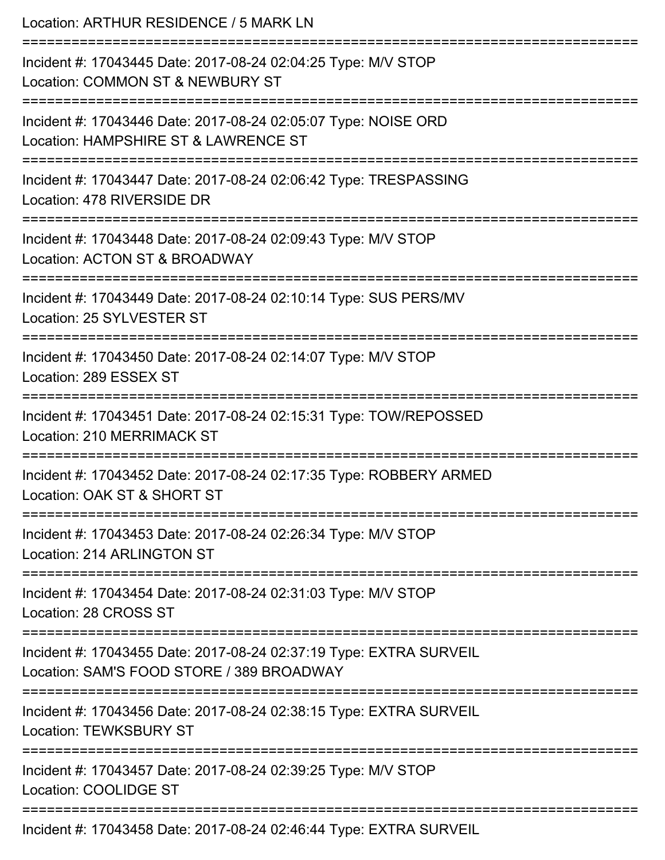| Location: ARTHUR RESIDENCE / 5 MARK LN<br>==============================                                                           |
|------------------------------------------------------------------------------------------------------------------------------------|
| Incident #: 17043445 Date: 2017-08-24 02:04:25 Type: M/V STOP<br>Location: COMMON ST & NEWBURY ST                                  |
| Incident #: 17043446 Date: 2017-08-24 02:05:07 Type: NOISE ORD<br>Location: HAMPSHIRE ST & LAWRENCE ST<br>======================== |
| Incident #: 17043447 Date: 2017-08-24 02:06:42 Type: TRESPASSING<br>Location: 478 RIVERSIDE DR                                     |
| Incident #: 17043448 Date: 2017-08-24 02:09:43 Type: M/V STOP<br>Location: ACTON ST & BROADWAY                                     |
| Incident #: 17043449 Date: 2017-08-24 02:10:14 Type: SUS PERS/MV<br>Location: 25 SYLVESTER ST                                      |
| Incident #: 17043450 Date: 2017-08-24 02:14:07 Type: M/V STOP<br>Location: 289 ESSEX ST                                            |
| Incident #: 17043451 Date: 2017-08-24 02:15:31 Type: TOW/REPOSSED<br><b>Location: 210 MERRIMACK ST</b>                             |
| Incident #: 17043452 Date: 2017-08-24 02:17:35 Type: ROBBERY ARMED<br>Location: OAK ST & SHORT ST                                  |
| Incident #: 17043453 Date: 2017-08-24 02:26:34 Type: M/V STOP<br>Location: 214 ARLINGTON ST                                        |
| Incident #: 17043454 Date: 2017-08-24 02:31:03 Type: M/V STOP<br>Location: 28 CROSS ST                                             |
| Incident #: 17043455 Date: 2017-08-24 02:37:19 Type: EXTRA SURVEIL<br>Location: SAM'S FOOD STORE / 389 BROADWAY                    |
| Incident #: 17043456 Date: 2017-08-24 02:38:15 Type: EXTRA SURVEIL<br><b>Location: TEWKSBURY ST</b>                                |
| Incident #: 17043457 Date: 2017-08-24 02:39:25 Type: M/V STOP<br>Location: COOLIDGE ST                                             |
| Incident #: 17043458 Date: 2017-08-24 02:46:44 Type: EXTRA SURVEIL                                                                 |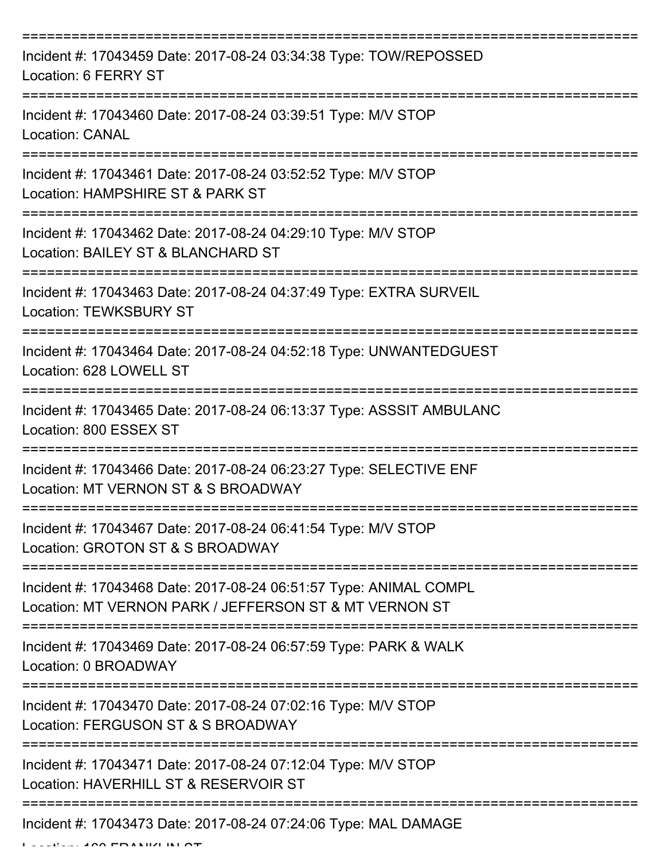| Incident #: 17043459 Date: 2017-08-24 03:34:38 Type: TOW/REPOSSED<br>Location: 6 FERRY ST                                   |
|-----------------------------------------------------------------------------------------------------------------------------|
| Incident #: 17043460 Date: 2017-08-24 03:39:51 Type: M/V STOP<br><b>Location: CANAL</b>                                     |
| Incident #: 17043461 Date: 2017-08-24 03:52:52 Type: M/V STOP<br>Location: HAMPSHIRE ST & PARK ST                           |
| Incident #: 17043462 Date: 2017-08-24 04:29:10 Type: M/V STOP<br>Location: BAILEY ST & BLANCHARD ST                         |
| Incident #: 17043463 Date: 2017-08-24 04:37:49 Type: EXTRA SURVEIL<br><b>Location: TEWKSBURY ST</b>                         |
| Incident #: 17043464 Date: 2017-08-24 04:52:18 Type: UNWANTEDGUEST<br>Location: 628 LOWELL ST                               |
| Incident #: 17043465 Date: 2017-08-24 06:13:37 Type: ASSSIT AMBULANC<br>Location: 800 ESSEX ST                              |
| Incident #: 17043466 Date: 2017-08-24 06:23:27 Type: SELECTIVE ENF<br>Location: MT VERNON ST & S BROADWAY                   |
| Incident #: 17043467 Date: 2017-08-24 06:41:54 Type: M/V STOP<br>Location: GROTON ST & S BROADWAY                           |
| Incident #: 17043468 Date: 2017-08-24 06:51:57 Type: ANIMAL COMPL<br>Location: MT VERNON PARK / JEFFERSON ST & MT VERNON ST |
| Incident #: 17043469 Date: 2017-08-24 06:57:59 Type: PARK & WALK<br>Location: 0 BROADWAY                                    |
| ===================<br>Incident #: 17043470 Date: 2017-08-24 07:02:16 Type: M/V STOP<br>Location: FERGUSON ST & S BROADWAY  |
| Incident #: 17043471 Date: 2017-08-24 07:12:04 Type: M/V STOP<br>Location: HAVERHILL ST & RESERVOIR ST                      |
| ------------------------------------<br>Incident #: 17043473 Date: 2017-08-24 07:24:06 Type: MAL DAMAGE                     |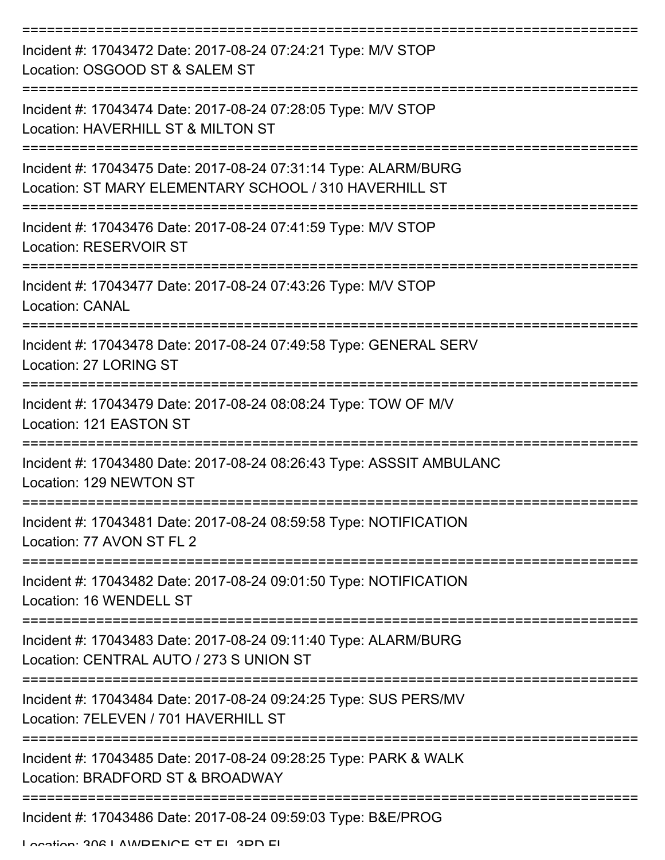| Incident #: 17043472 Date: 2017-08-24 07:24:21 Type: M/V STOP<br>Location: OSGOOD ST & SALEM ST                           |
|---------------------------------------------------------------------------------------------------------------------------|
| Incident #: 17043474 Date: 2017-08-24 07:28:05 Type: M/V STOP<br>Location: HAVERHILL ST & MILTON ST                       |
| Incident #: 17043475 Date: 2017-08-24 07:31:14 Type: ALARM/BURG<br>Location: ST MARY ELEMENTARY SCHOOL / 310 HAVERHILL ST |
| Incident #: 17043476 Date: 2017-08-24 07:41:59 Type: M/V STOP<br>Location: RESERVOIR ST                                   |
| Incident #: 17043477 Date: 2017-08-24 07:43:26 Type: M/V STOP<br><b>Location: CANAL</b>                                   |
| Incident #: 17043478 Date: 2017-08-24 07:49:58 Type: GENERAL SERV<br>Location: 27 LORING ST                               |
| Incident #: 17043479 Date: 2017-08-24 08:08:24 Type: TOW OF M/V<br>Location: 121 EASTON ST                                |
| Incident #: 17043480 Date: 2017-08-24 08:26:43 Type: ASSSIT AMBULANC<br>Location: 129 NEWTON ST                           |
| Incident #: 17043481 Date: 2017-08-24 08:59:58 Type: NOTIFICATION<br>Location: 77 AVON ST FL 2                            |
| Incident #: 17043482 Date: 2017-08-24 09:01:50 Type: NOTIFICATION<br>Location: 16 WENDELL ST                              |
| Incident #: 17043483 Date: 2017-08-24 09:11:40 Type: ALARM/BURG<br>Location: CENTRAL AUTO / 273 S UNION ST                |
| Incident #: 17043484 Date: 2017-08-24 09:24:25 Type: SUS PERS/MV<br>Location: 7ELEVEN / 701 HAVERHILL ST                  |
| Incident #: 17043485 Date: 2017-08-24 09:28:25 Type: PARK & WALK<br>Location: BRADFORD ST & BROADWAY                      |
| Incident #: 17043486 Date: 2017-08-24 09:59:03 Type: B&E/PROG                                                             |

Location: 306 LAMPENCE ST EL 3DD EL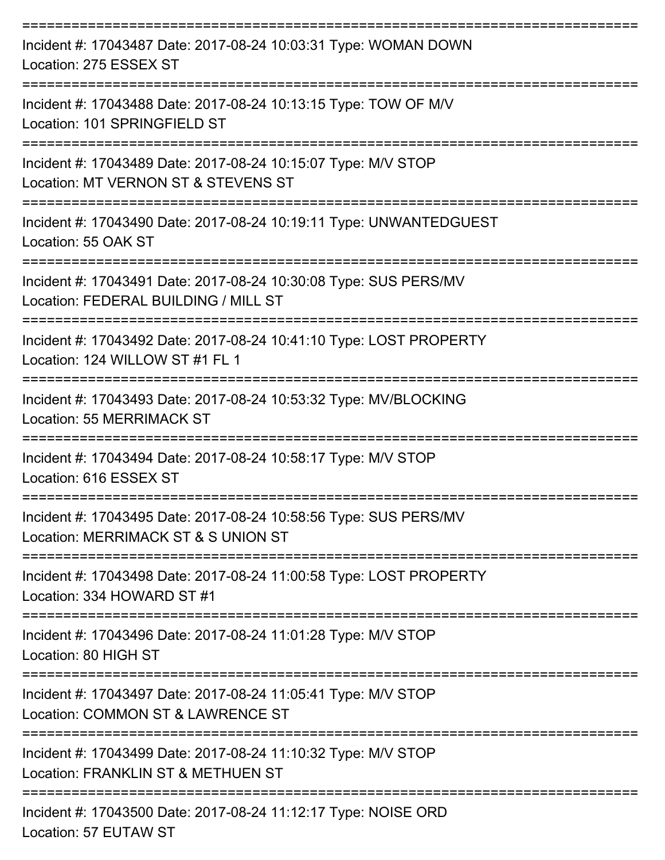| Incident #: 17043487 Date: 2017-08-24 10:03:31 Type: WOMAN DOWN<br>Location: 275 ESSEX ST                                             |
|---------------------------------------------------------------------------------------------------------------------------------------|
| Incident #: 17043488 Date: 2017-08-24 10:13:15 Type: TOW OF M/V<br>Location: 101 SPRINGFIELD ST                                       |
| Incident #: 17043489 Date: 2017-08-24 10:15:07 Type: M/V STOP<br>Location: MT VERNON ST & STEVENS ST                                  |
| Incident #: 17043490 Date: 2017-08-24 10:19:11 Type: UNWANTEDGUEST<br>Location: 55 OAK ST                                             |
| -------------------------<br>Incident #: 17043491 Date: 2017-08-24 10:30:08 Type: SUS PERS/MV<br>Location: FEDERAL BUILDING / MILL ST |
| Incident #: 17043492 Date: 2017-08-24 10:41:10 Type: LOST PROPERTY<br>Location: 124 WILLOW ST #1 FL 1                                 |
| Incident #: 17043493 Date: 2017-08-24 10:53:32 Type: MV/BLOCKING<br>Location: 55 MERRIMACK ST                                         |
| Incident #: 17043494 Date: 2017-08-24 10:58:17 Type: M/V STOP<br>Location: 616 ESSEX ST                                               |
| Incident #: 17043495 Date: 2017-08-24 10:58:56 Type: SUS PERS/MV<br>Location: MERRIMACK ST & S UNION ST                               |
| Incident #: 17043498 Date: 2017-08-24 11:00:58 Type: LOST PROPERTY<br>Location: 334 HOWARD ST #1                                      |
| Incident #: 17043496 Date: 2017-08-24 11:01:28 Type: M/V STOP<br>Location: 80 HIGH ST                                                 |
| Incident #: 17043497 Date: 2017-08-24 11:05:41 Type: M/V STOP<br>Location: COMMON ST & LAWRENCE ST                                    |
| Incident #: 17043499 Date: 2017-08-24 11:10:32 Type: M/V STOP<br>Location: FRANKLIN ST & METHUEN ST                                   |
| Incident #: 17043500 Date: 2017-08-24 11:12:17 Type: NOISE ORD                                                                        |

Location: 57 EUTAW ST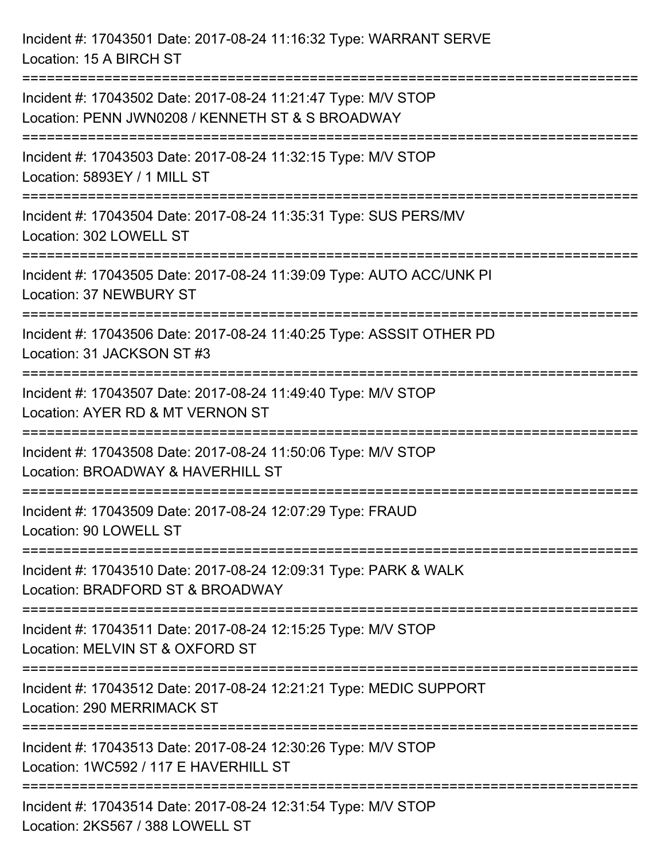Incident #: 17043501 Date: 2017-08-24 11:16:32 Type: WARRANT SERVE Location: 15 A BIRCH ST =========================================================================== Incident #: 17043502 Date: 2017-08-24 11:21:47 Type: M/V STOP Location: PENN JWN0208 / KENNETH ST & S BROADWAY =========================================================================== Incident #: 17043503 Date: 2017-08-24 11:32:15 Type: M/V STOP Location: 5893EY / 1 MILL ST =========================================================================== Incident #: 17043504 Date: 2017-08-24 11:35:31 Type: SUS PERS/MV Location: 302 LOWELL ST =========================================================================== Incident #: 17043505 Date: 2017-08-24 11:39:09 Type: AUTO ACC/UNK PI Location: 37 NEWBURY ST =========================================================================== Incident #: 17043506 Date: 2017-08-24 11:40:25 Type: ASSSIT OTHER PD Location: 31 JACKSON ST #3 =========================================================================== Incident #: 17043507 Date: 2017-08-24 11:49:40 Type: M/V STOP Location: AYER RD & MT VERNON ST =========================================================================== Incident #: 17043508 Date: 2017-08-24 11:50:06 Type: M/V STOP Location: BROADWAY & HAVERHILL ST =========================================================================== Incident #: 17043509 Date: 2017-08-24 12:07:29 Type: FRAUD Location: 90 LOWELL ST =========================================================================== Incident #: 17043510 Date: 2017-08-24 12:09:31 Type: PARK & WALK Location: BRADFORD ST & BROADWAY =========================================================================== Incident #: 17043511 Date: 2017-08-24 12:15:25 Type: M/V STOP Location: MELVIN ST & OXFORD ST =========================================================================== Incident #: 17043512 Date: 2017-08-24 12:21:21 Type: MEDIC SUPPORT Location: 290 MERRIMACK ST =========================================================================== Incident #: 17043513 Date: 2017-08-24 12:30:26 Type: M/V STOP Location: 1WC592 / 117 E HAVERHILL ST =========================================================================== Incident #: 17043514 Date: 2017-08-24 12:31:54 Type: M/V STOP Location: 2KS567 / 388 LOWELL ST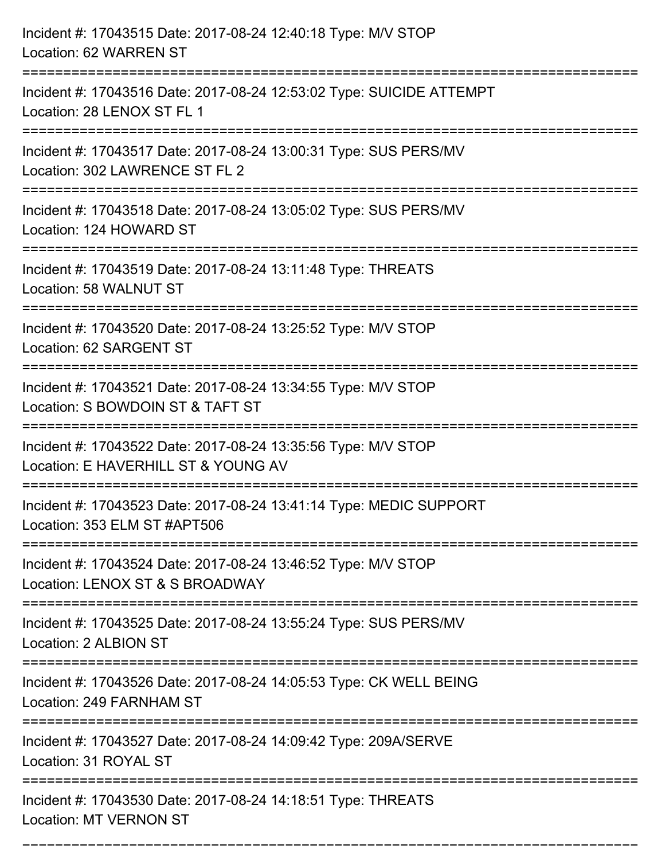| Incident #: 17043515 Date: 2017-08-24 12:40:18 Type: M/V STOP<br>Location: 62 WARREN ST                                      |
|------------------------------------------------------------------------------------------------------------------------------|
| ======================<br>Incident #: 17043516 Date: 2017-08-24 12:53:02 Type: SUICIDE ATTEMPT<br>Location: 28 LENOX ST FL 1 |
| Incident #: 17043517 Date: 2017-08-24 13:00:31 Type: SUS PERS/MV<br>Location: 302 LAWRENCE ST FL 2                           |
| Incident #: 17043518 Date: 2017-08-24 13:05:02 Type: SUS PERS/MV<br>Location: 124 HOWARD ST                                  |
| Incident #: 17043519 Date: 2017-08-24 13:11:48 Type: THREATS<br>Location: 58 WALNUT ST<br>----------------------------       |
| Incident #: 17043520 Date: 2017-08-24 13:25:52 Type: M/V STOP<br>Location: 62 SARGENT ST                                     |
| Incident #: 17043521 Date: 2017-08-24 13:34:55 Type: M/V STOP<br>Location: S BOWDOIN ST & TAFT ST                            |
| Incident #: 17043522 Date: 2017-08-24 13:35:56 Type: M/V STOP<br>Location: E HAVERHILL ST & YOUNG AV                         |
| Incident #: 17043523 Date: 2017-08-24 13:41:14 Type: MEDIC SUPPORT<br>Location: 353 ELM ST #APT506                           |
| Incident #: 17043524 Date: 2017-08-24 13:46:52 Type: M/V STOP<br>Location: LENOX ST & S BROADWAY                             |
| Incident #: 17043525 Date: 2017-08-24 13:55:24 Type: SUS PERS/MV<br>Location: 2 ALBION ST                                    |
| Incident #: 17043526 Date: 2017-08-24 14:05:53 Type: CK WELL BEING<br>Location: 249 FARNHAM ST                               |
| Incident #: 17043527 Date: 2017-08-24 14:09:42 Type: 209A/SERVE<br>Location: 31 ROYAL ST                                     |
| Incident #: 17043530 Date: 2017-08-24 14:18:51 Type: THREATS<br><b>Location: MT VERNON ST</b>                                |

===========================================================================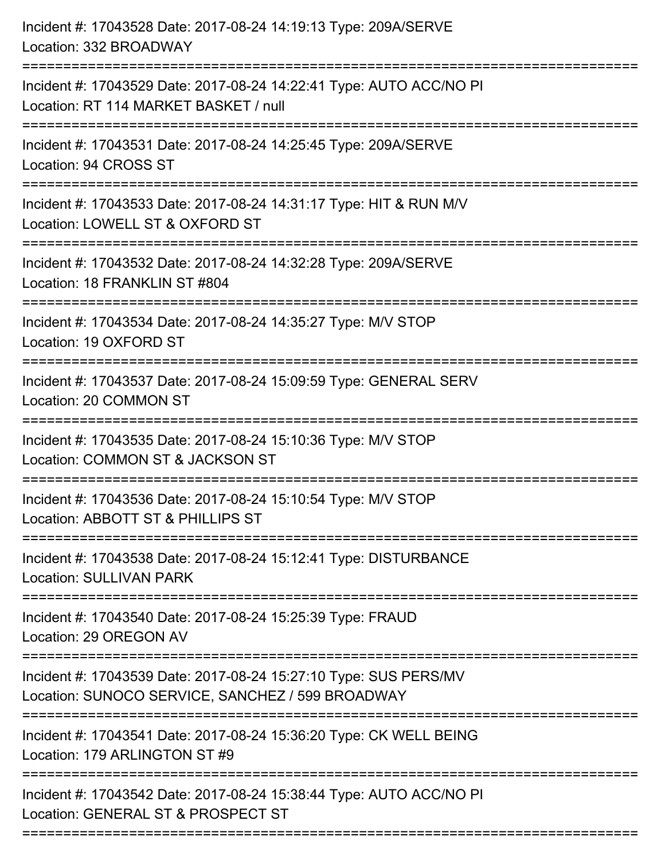| Incident #: 17043528 Date: 2017-08-24 14:19:13 Type: 209A/SERVE<br>Location: 332 BROADWAY                            |
|----------------------------------------------------------------------------------------------------------------------|
| Incident #: 17043529 Date: 2017-08-24 14:22:41 Type: AUTO ACC/NO PI<br>Location: RT 114 MARKET BASKET / null         |
| Incident #: 17043531 Date: 2017-08-24 14:25:45 Type: 209A/SERVE<br>Location: 94 CROSS ST                             |
| Incident #: 17043533 Date: 2017-08-24 14:31:17 Type: HIT & RUN M/V<br>Location: LOWELL ST & OXFORD ST                |
| Incident #: 17043532 Date: 2017-08-24 14:32:28 Type: 209A/SERVE<br>Location: 18 FRANKLIN ST #804                     |
| Incident #: 17043534 Date: 2017-08-24 14:35:27 Type: M/V STOP<br>Location: 19 OXFORD ST                              |
| Incident #: 17043537 Date: 2017-08-24 15:09:59 Type: GENERAL SERV<br>Location: 20 COMMON ST                          |
| Incident #: 17043535 Date: 2017-08-24 15:10:36 Type: M/V STOP<br>Location: COMMON ST & JACKSON ST                    |
| Incident #: 17043536 Date: 2017-08-24 15:10:54 Type: M/V STOP<br>Location: ABBOTT ST & PHILLIPS ST                   |
| Incident #: 17043538 Date: 2017-08-24 15:12:41 Type: DISTURBANCE<br><b>Location: SULLIVAN PARK</b>                   |
| Incident #: 17043540 Date: 2017-08-24 15:25:39 Type: FRAUD<br>Location: 29 OREGON AV                                 |
| Incident #: 17043539 Date: 2017-08-24 15:27:10 Type: SUS PERS/MV<br>Location: SUNOCO SERVICE, SANCHEZ / 599 BROADWAY |
| Incident #: 17043541 Date: 2017-08-24 15:36:20 Type: CK WELL BEING<br>Location: 179 ARLINGTON ST #9                  |
| Incident #: 17043542 Date: 2017-08-24 15:38:44 Type: AUTO ACC/NO PI<br>Location: GENERAL ST & PROSPECT ST            |
|                                                                                                                      |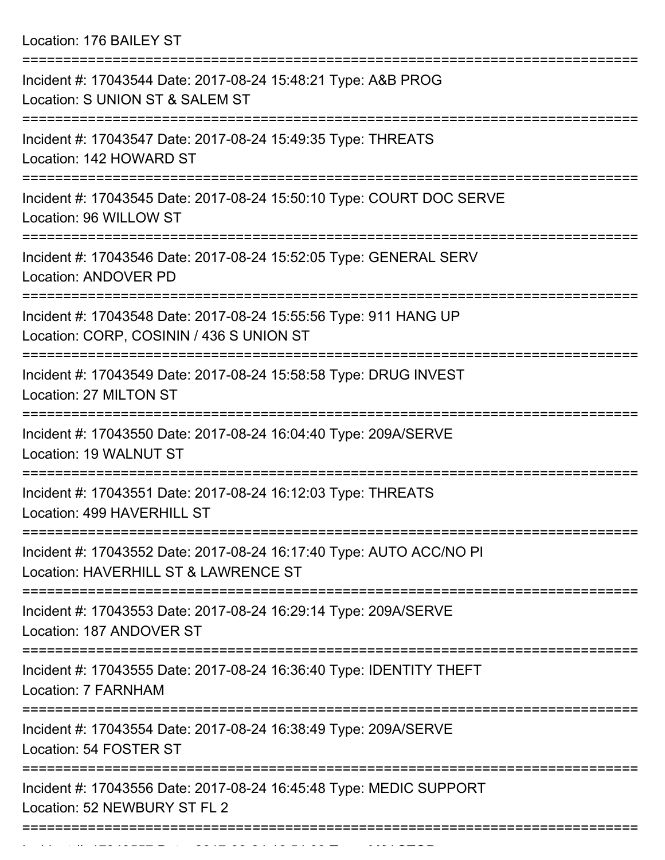Location: 176 BAILEY ST

| Incident #: 17043544 Date: 2017-08-24 15:48:21 Type: A&B PROG<br>Location: S UNION ST & SALEM ST             |
|--------------------------------------------------------------------------------------------------------------|
| Incident #: 17043547 Date: 2017-08-24 15:49:35 Type: THREATS<br>Location: 142 HOWARD ST                      |
| Incident #: 17043545 Date: 2017-08-24 15:50:10 Type: COURT DOC SERVE<br>Location: 96 WILLOW ST               |
| Incident #: 17043546 Date: 2017-08-24 15:52:05 Type: GENERAL SERV<br>Location: ANDOVER PD                    |
| Incident #: 17043548 Date: 2017-08-24 15:55:56 Type: 911 HANG UP<br>Location: CORP, COSININ / 436 S UNION ST |
| Incident #: 17043549 Date: 2017-08-24 15:58:58 Type: DRUG INVEST<br>Location: 27 MILTON ST                   |
| Incident #: 17043550 Date: 2017-08-24 16:04:40 Type: 209A/SERVE<br>Location: 19 WALNUT ST                    |
| Incident #: 17043551 Date: 2017-08-24 16:12:03 Type: THREATS<br>Location: 499 HAVERHILL ST                   |
| Incident #: 17043552 Date: 2017-08-24 16:17:40 Type: AUTO ACC/NO PI<br>Location: HAVERHILL ST & LAWRENCE ST  |
| Incident #: 17043553 Date: 2017-08-24 16:29:14 Type: 209A/SERVE<br>Location: 187 ANDOVER ST                  |
| Incident #: 17043555 Date: 2017-08-24 16:36:40 Type: IDENTITY THEFT<br>Location: 7 FARNHAM                   |
| Incident #: 17043554 Date: 2017-08-24 16:38:49 Type: 209A/SERVE<br>Location: 54 FOSTER ST                    |
| Incident #: 17043556 Date: 2017-08-24 16:45:48 Type: MEDIC SUPPORT<br>Location: 52 NEWBURY ST FL 2           |
|                                                                                                              |

Incident #: 17043557 Date: 2017 08 24 16:54:09 Type: M/V STOP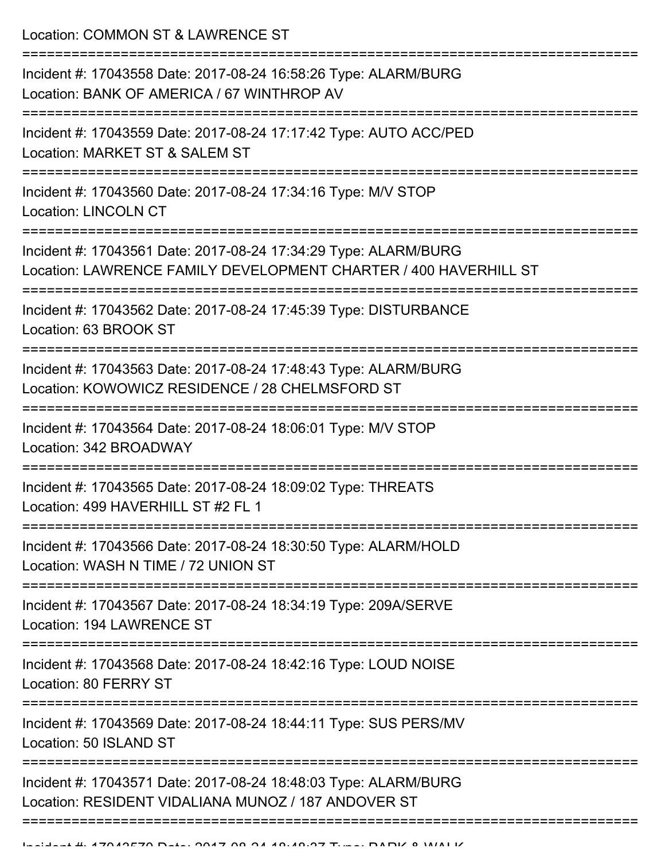Location: COMMON ST & LAWRENCE ST

| Incident #: 17043558 Date: 2017-08-24 16:58:26 Type: ALARM/BURG<br>Location: BANK OF AMERICA / 67 WINTHROP AV<br>----------------   |
|-------------------------------------------------------------------------------------------------------------------------------------|
| Incident #: 17043559 Date: 2017-08-24 17:17:42 Type: AUTO ACC/PED<br>Location: MARKET ST & SALEM ST                                 |
| Incident #: 17043560 Date: 2017-08-24 17:34:16 Type: M/V STOP<br><b>Location: LINCOLN CT</b>                                        |
| Incident #: 17043561 Date: 2017-08-24 17:34:29 Type: ALARM/BURG<br>Location: LAWRENCE FAMILY DEVELOPMENT CHARTER / 400 HAVERHILL ST |
| Incident #: 17043562 Date: 2017-08-24 17:45:39 Type: DISTURBANCE<br>Location: 63 BROOK ST                                           |
| Incident #: 17043563 Date: 2017-08-24 17:48:43 Type: ALARM/BURG<br>Location: KOWOWICZ RESIDENCE / 28 CHELMSFORD ST                  |
| Incident #: 17043564 Date: 2017-08-24 18:06:01 Type: M/V STOP<br>Location: 342 BROADWAY                                             |
| Incident #: 17043565 Date: 2017-08-24 18:09:02 Type: THREATS<br>Location: 499 HAVERHILL ST #2 FL 1                                  |
| Incident #: 17043566 Date: 2017-08-24 18:30:50 Type: ALARM/HOLD<br>Location: WASH N TIME / 72 UNION ST                              |
| Incident #: 17043567 Date: 2017-08-24 18:34:19 Type: 209A/SERVE<br>Location: 194 LAWRENCE ST                                        |
| Incident #: 17043568 Date: 2017-08-24 18:42:16 Type: LOUD NOISE<br>Location: 80 FERRY ST                                            |
| Incident #: 17043569 Date: 2017-08-24 18:44:11 Type: SUS PERS/MV<br>Location: 50 ISLAND ST                                          |
| Incident #: 17043571 Date: 2017-08-24 18:48:03 Type: ALARM/BURG<br>Location: RESIDENT VIDALIANA MUNOZ / 187 ANDOVER ST              |
|                                                                                                                                     |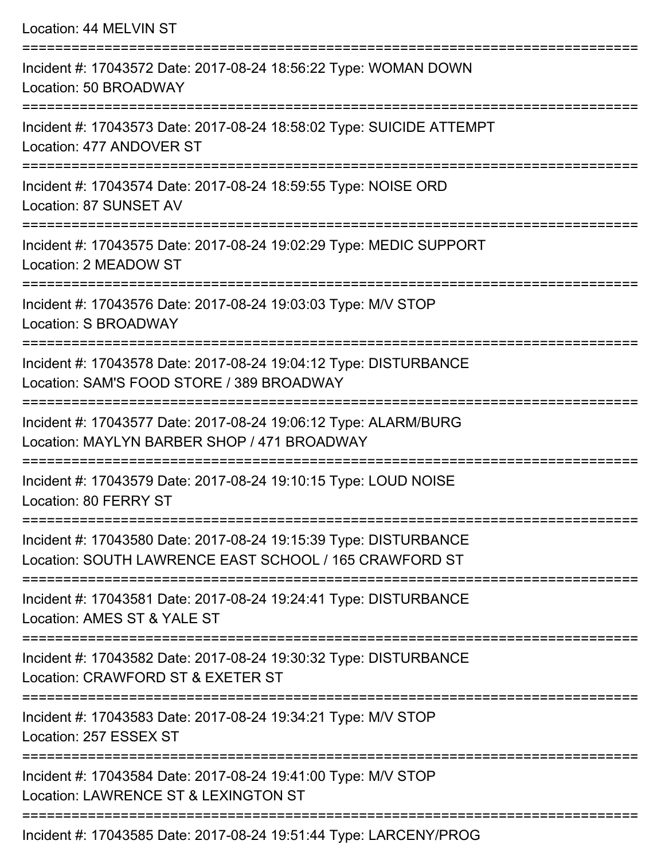Location: 44 MELVIN ST

=========================================================================== Incident #: 17043572 Date: 2017-08-24 18:56:22 Type: WOMAN DOWN Location: 50 BROADWAY =========================================================================== Incident #: 17043573 Date: 2017-08-24 18:58:02 Type: SUICIDE ATTEMPT Location: 477 ANDOVER ST =========================================================================== Incident #: 17043574 Date: 2017-08-24 18:59:55 Type: NOISE ORD Location: 87 SUNSET AV =========================================================================== Incident #: 17043575 Date: 2017-08-24 19:02:29 Type: MEDIC SUPPORT Location: 2 MEADOW ST =========================================================================== Incident #: 17043576 Date: 2017-08-24 19:03:03 Type: M/V STOP Location: S BROADWAY =========================================================================== Incident #: 17043578 Date: 2017-08-24 19:04:12 Type: DISTURBANCE Location: SAM'S FOOD STORE / 389 BROADWAY =========================================================================== Incident #: 17043577 Date: 2017-08-24 19:06:12 Type: ALARM/BURG Location: MAYLYN BARBER SHOP / 471 BROADWAY =========================================================================== Incident #: 17043579 Date: 2017-08-24 19:10:15 Type: LOUD NOISE Location: 80 FERRY ST =========================================================================== Incident #: 17043580 Date: 2017-08-24 19:15:39 Type: DISTURBANCE Location: SOUTH LAWRENCE EAST SCHOOL / 165 CRAWFORD ST =========================================================================== Incident #: 17043581 Date: 2017-08-24 19:24:41 Type: DISTURBANCE Location: AMES ST & YALE ST =========================================================================== Incident #: 17043582 Date: 2017-08-24 19:30:32 Type: DISTURBANCE Location: CRAWFORD ST & EXETER ST =========================================================================== Incident #: 17043583 Date: 2017-08-24 19:34:21 Type: M/V STOP Location: 257 ESSEX ST =========================================================================== Incident #: 17043584 Date: 2017-08-24 19:41:00 Type: M/V STOP Location: LAWRENCE ST & LEXINGTON ST ===========================================================================

Incident #: 17043585 Date: 2017-08-24 19:51:44 Type: LARCENY/PROG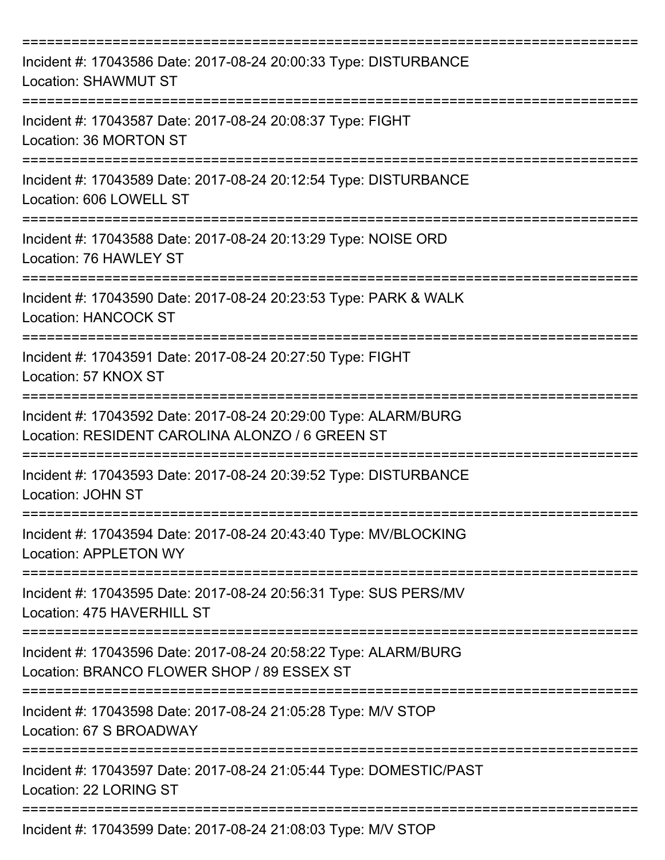| Incident #: 17043586 Date: 2017-08-24 20:00:33 Type: DISTURBANCE<br><b>Location: SHAWMUT ST</b>                    |
|--------------------------------------------------------------------------------------------------------------------|
| Incident #: 17043587 Date: 2017-08-24 20:08:37 Type: FIGHT<br>Location: 36 MORTON ST                               |
| Incident #: 17043589 Date: 2017-08-24 20:12:54 Type: DISTURBANCE<br>Location: 606 LOWELL ST                        |
| Incident #: 17043588 Date: 2017-08-24 20:13:29 Type: NOISE ORD<br>Location: 76 HAWLEY ST                           |
| Incident #: 17043590 Date: 2017-08-24 20:23:53 Type: PARK & WALK<br><b>Location: HANCOCK ST</b>                    |
| Incident #: 17043591 Date: 2017-08-24 20:27:50 Type: FIGHT<br>Location: 57 KNOX ST                                 |
| Incident #: 17043592 Date: 2017-08-24 20:29:00 Type: ALARM/BURG<br>Location: RESIDENT CAROLINA ALONZO / 6 GREEN ST |
| Incident #: 17043593 Date: 2017-08-24 20:39:52 Type: DISTURBANCE<br>Location: JOHN ST                              |
| Incident #: 17043594 Date: 2017-08-24 20:43:40 Type: MV/BLOCKING<br><b>Location: APPLETON WY</b>                   |
| Incident #: 17043595 Date: 2017-08-24 20:56:31 Type: SUS PERS/MV<br>Location: 475 HAVERHILL ST                     |
| Incident #: 17043596 Date: 2017-08-24 20:58:22 Type: ALARM/BURG<br>Location: BRANCO FLOWER SHOP / 89 ESSEX ST      |
| Incident #: 17043598 Date: 2017-08-24 21:05:28 Type: M/V STOP<br>Location: 67 S BROADWAY                           |
| Incident #: 17043597 Date: 2017-08-24 21:05:44 Type: DOMESTIC/PAST<br>Location: 22 LORING ST                       |
| Incident #: 17043599 Date: 2017-08-24 21:08:03 Type: M/V STOP                                                      |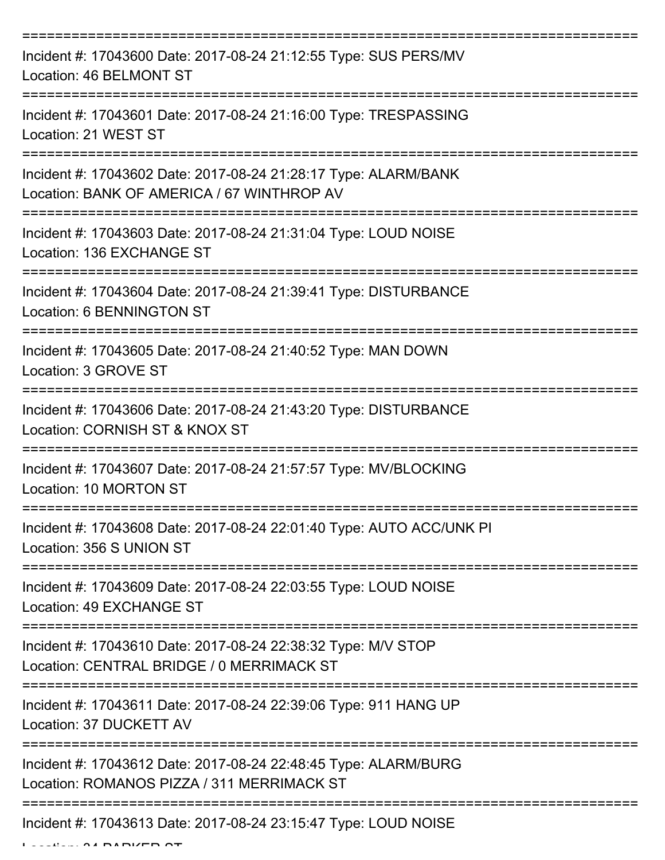| Incident #: 17043600 Date: 2017-08-24 21:12:55 Type: SUS PERS/MV<br>Location: 46 BELMONT ST                   |
|---------------------------------------------------------------------------------------------------------------|
| Incident #: 17043601 Date: 2017-08-24 21:16:00 Type: TRESPASSING<br>Location: 21 WEST ST                      |
| Incident #: 17043602 Date: 2017-08-24 21:28:17 Type: ALARM/BANK<br>Location: BANK OF AMERICA / 67 WINTHROP AV |
| Incident #: 17043603 Date: 2017-08-24 21:31:04 Type: LOUD NOISE<br>Location: 136 EXCHANGE ST                  |
| Incident #: 17043604 Date: 2017-08-24 21:39:41 Type: DISTURBANCE<br><b>Location: 6 BENNINGTON ST</b>          |
| Incident #: 17043605 Date: 2017-08-24 21:40:52 Type: MAN DOWN<br>Location: 3 GROVE ST                         |
| Incident #: 17043606 Date: 2017-08-24 21:43:20 Type: DISTURBANCE<br>Location: CORNISH ST & KNOX ST            |
| Incident #: 17043607 Date: 2017-08-24 21:57:57 Type: MV/BLOCKING<br>Location: 10 MORTON ST                    |
| Incident #: 17043608 Date: 2017-08-24 22:01:40 Type: AUTO ACC/UNK PI<br>Location: 356 S UNION ST              |
| Incident #: 17043609 Date: 2017-08-24 22:03:55 Type: LOUD NOISE<br>Location: 49 EXCHANGE ST                   |
| Incident #: 17043610 Date: 2017-08-24 22:38:32 Type: M/V STOP<br>Location: CENTRAL BRIDGE / 0 MERRIMACK ST    |
| Incident #: 17043611 Date: 2017-08-24 22:39:06 Type: 911 HANG UP<br>Location: 37 DUCKETT AV                   |
| Incident #: 17043612 Date: 2017-08-24 22:48:45 Type: ALARM/BURG<br>Location: ROMANOS PIZZA / 311 MERRIMACK ST |
| Incident #: 17043613 Date: 2017-08-24 23:15:47 Type: LOUD NOISE                                               |

 $L$ ....  $\Delta$  A PARKER ST